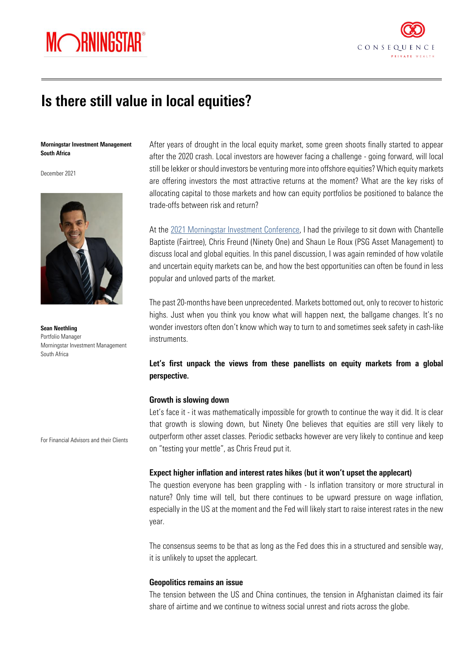



# Is there still value in local equities?

#### Morningstar Investment Management South Africa

December 2021



Sean Neethling Portfolio Manager Morningstar Investment Management South Africa

For Financial Advisors and their Clients

After years of drought in the local equity market, some green shoots finally started to appear after the 2020 crash. Local investors are however facing a challenge - going forward, will local still be lekker or should investors be venturing more into offshore equities? Which equity markets are offering investors the most attractive returns at the moment? What are the key risks of allocating capital to those markets and how can equity portfolios be positioned to balance the trade-offs between risk and return?

At the [2021 Morningstar Investment Conference,](https://www.morningstar.com/en-za/events/mic) I had the privilege to sit down with Chantelle Baptiste (Fairtree), Chris Freund (Ninety One) and Shaun Le Roux (PSG Asset Management) to discuss local and global equities. In this panel discussion, I was again reminded of how volatile and uncertain equity markets can be, and how the best opportunities can often be found in less popular and unloved parts of the market.

The past 20-months have been unprecedented. Markets bottomed out, only to recover to historic highs. Just when you think you know what will happen next, the ballgame changes. It's no wonder investors often don't know which way to turn to and sometimes seek safety in cash-like instruments.

## Let's first unpack the views from these panellists on equity markets from a global perspective.

#### Growth is slowing down

Let's face it - it was mathematically impossible for growth to continue the way it did. It is clear that growth is slowing down, but Ninety One believes that equities are still very likely to outperform other asset classes. Periodic setbacks however are very likely to continue and keep on "testing your mettle", as Chris Freud put it.

#### Expect higher inflation and interest rates hikes (but it won't upset the applecart)

The question everyone has been grappling with - Is inflation transitory or more structural in nature? Only time will tell, but there continues to be upward pressure on wage inflation, especially in the US at the moment and the Fed will likely start to raise interest rates in the new year.

The consensus seems to be that as long as the Fed does this in a structured and sensible way, it is unlikely to upset the applecart.

## Geopolitics remains an issue

The tension between the US and China continues, the tension in Afghanistan claimed its fair share of airtime and we continue to witness social unrest and riots across the globe.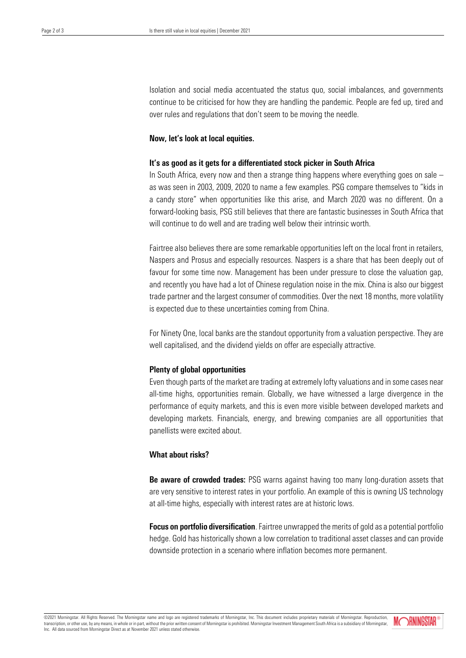Isolation and social media accentuated the status quo, social imbalances, and governments continue to be criticised for how they are handling the pandemic. People are fed up, tired and over rules and regulations that don't seem to be moving the needle.

#### Now, let's look at local equities.

#### It's as good as it gets for a differentiated stock picker in South Africa

In South Africa, every now and then a strange thing happens where everything goes on sale – as was seen in 2003, 2009, 2020 to name a few examples. PSG compare themselves to "kids in a candy store" when opportunities like this arise, and March 2020 was no different. On a forward-looking basis, PSG still believes that there are fantastic businesses in South Africa that will continue to do well and are trading well below their intrinsic worth.

Fairtree also believes there are some remarkable opportunities left on the local front in retailers, Naspers and Prosus and especially resources. Naspers is a share that has been deeply out of favour for some time now. Management has been under pressure to close the valuation gap, and recently you have had a lot of Chinese regulation noise in the mix. China is also our biggest trade partner and the largest consumer of commodities. Over the next 18 months, more volatility is expected due to these uncertainties coming from China.

For Ninety One, local banks are the standout opportunity from a valuation perspective. They are well capitalised, and the dividend yields on offer are especially attractive.

## Plenty of global opportunities

Even though parts of the market are trading at extremely lofty valuations and in some cases near all-time highs, opportunities remain. Globally, we have witnessed a large divergence in the performance of equity markets, and this is even more visible between developed markets and developing markets. Financials, energy, and brewing companies are all opportunities that panellists were excited about.

### What about risks?

**Be aware of crowded trades:** PSG warns against having too many long-duration assets that are very sensitive to interest rates in your portfolio. An example of this is owning US technology at all-time highs, especially with interest rates are at historic lows.

Focus on portfolio diversification. Fairtree unwrapped the merits of gold as a potential portfolio hedge. Gold has historically shown a low correlation to traditional asset classes and can provide downside protection in a scenario where inflation becomes more permanent.